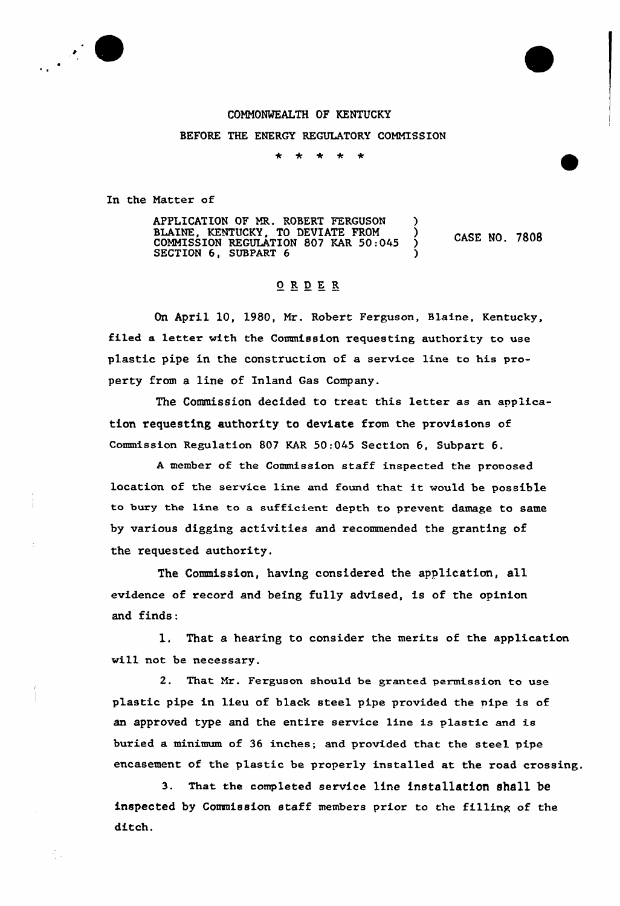## 

## COMMONWEALTH OF KENTUCKY

BEFORE THE ENERGY REGULATORY COMMISSION

 $\bigstar$  $\ddot{\phantom{1}}$  $\rightarrow$  $\mathbf{r}$ 

In the Matter of

APPLICATION OF MR. ROBERT FERGUSON ) BLAINE, KENTUCKY, TO DEVIATE FROM )  $COMMISSION REGULATION 807 KAR 50:045$ SECTION 6, SUBPART 6 ) CASE NO. 7808

## ORDER

On April 10, 1980, Mr. Robert Ferguson, Blaine, Kentucky, filed a letter with the Commission requesting authority to use plastic pipe in the construction of a service line to his property from a line of Inland Gas Company.

The Comnission decided to treat this letter as an application requesting authority to deviate from the provisions of Commission Regulation 807 KAR 50:045 Section 6, Subpart 6.

<sup>A</sup> member of the Commission staff inspected the prooosed location of the service line and found that it would be possible to bury the line to a sufficient depth to prevent damage to same by various digging activities and recommended the granting of the requested authority.

The Commission, having considered the application, all evidence of record and being fully advised, is of the opinion and finds:

1. That a hearing to consider the merits of the application will not be necessary.

2. That Mr. Ferguson should be granted permission to use plastic pipe in lieu of black steel pipe provided the pipe is of an approved type and the entire service line is plastic and is buried a minimum of 36 inches; and provided that the steel pipe encasement of the plastic be properly installed at the road crossing.

3. That the completed service 1ine installation shall be inspected by Commission staff members prior to the filling of the ditch.